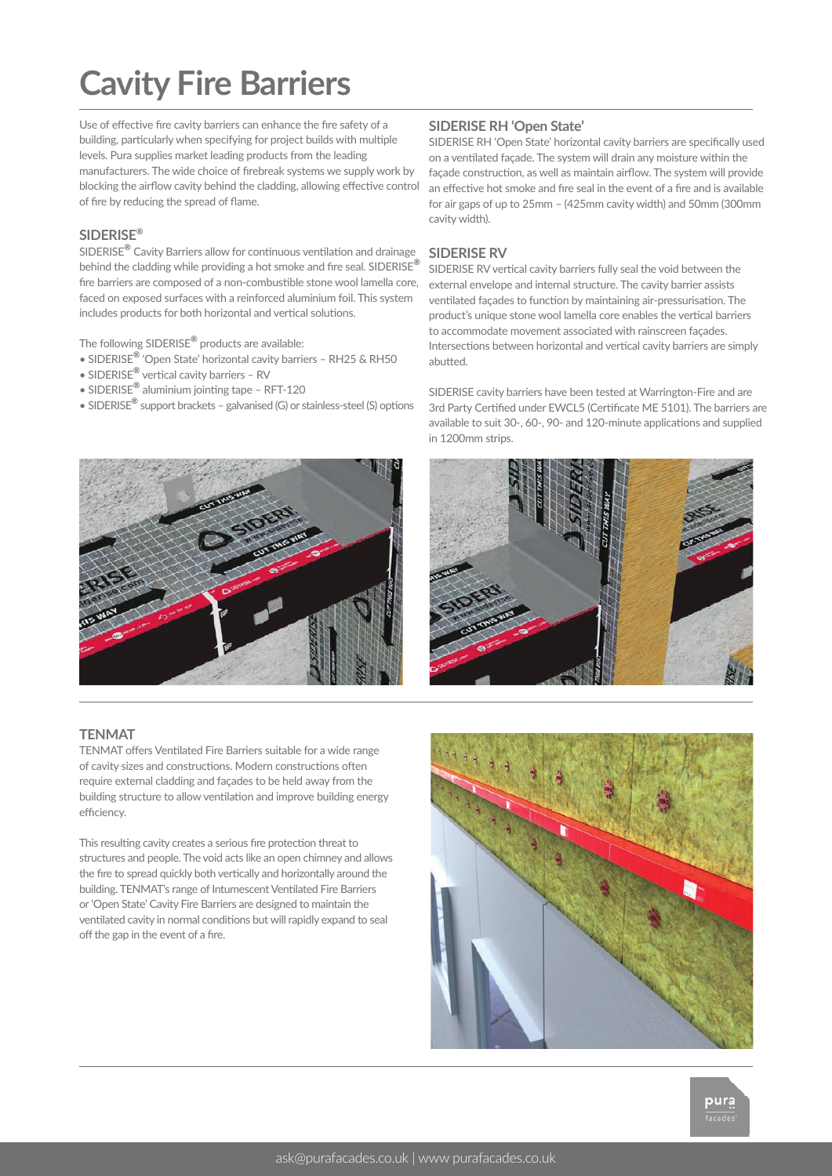# **Cavity Fire Barriers**

Use of effective fire cavity barriers can enhance the fire safety of a building, particularly when specifying for project builds with multiple levels. Pura supplies market leading products from the leading manufacturers. The wide choice of firebreak systems we supply work by blocking the airflow cavity behind the cladding, allowing effective control of fire by reducing the spread of flame.

#### **SIDERISE®**

SIDERISE**®** Cavity Barriers allow for continuous ventilation and drainage behind the cladding while providing a hot smoke and fire seal. SIDERISE**®** fire barriers are composed of a non-combustible stone wool lamella core, faced on exposed surfaces with a reinforced aluminium foil. This system includes products for both horizontal and vertical solutions.

The following SIDERISE**®** products are available:

- SIDERISE**®** 'Open State' horizontal cavity barriers RH25 & RH50
- SIDERISE**®** vertical cavity barriers RV
- SIDERISE**®** aluminium jointing tape RFT-120
- SIDERISE**®** support brackets galvanised (G) or stainless-steel (S) options



#### **SIDERISE RH 'Open State'**

SIDERISE RH 'Open State' horizontal cavity barriers are specifically used on a ventilated façade. The system will drain any moisture within the façade construction, as well as maintain airflow. The system will provide an effective hot smoke and fire seal in the event of a fire and is available for air gaps of up to 25mm – (425mm cavity width) and 50mm (300mm cavity width).

#### **SIDERISE RV**

SIDERISE RV vertical cavity barriers fully seal the void between the external envelope and internal structure. The cavity barrier assists ventilated façades to function by maintaining air-pressurisation. The product's unique stone wool lamella core enables the vertical barriers to accommodate movement associated with rainscreen façades. Intersections between horizontal and vertical cavity barriers are simply abutted.

SIDERISE cavity barriers have been tested at Warrington-Fire and are 3rd Party Certified under EWCL5 (Certificate ME 5101). The barriers are available to suit 30-, 60-, 90- and 120-minute applications and supplied in 1200mm strips.



#### **TENMAT**

TENMAT offers Ventilated Fire Barriers suitable for a wide range of cavity sizes and constructions. Modern constructions often require external cladding and façades to be held away from the building structure to allow ventilation and improve building energy efficiency.

This resulting cavity creates a serious fire protection threat to structures and people. The void acts like an open chimney and allows the fire to spread quickly both vertically and horizontally around the building. TENMAT's range of Intumescent Ventilated Fire Barriers or 'Open State' Cavity Fire Barriers are designed to maintain the ventilated cavity in normal conditions but will rapidly expand to seal off the gap in the event of a fire.